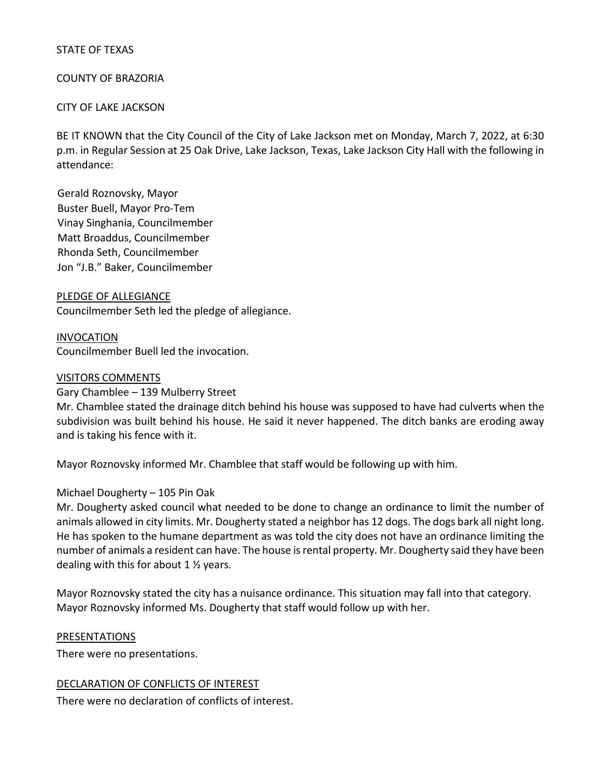### STATE OF TEXAS

### COUNTY OF BRAZORIA

### CITY OF LAKE JACKSON

BE IT KNOWN that the City Council of the City of Lake Jackson met on Monday, March 7, 2022, at 6:30 p.m. in Regular Session at 25 Oak Drive, Lake Jackson, Texas, Lake Jackson City Hall with the following in attendance:

Gerald Roznovsky, Mayor Buster Buell, Mayor Pro-Tem Vinay Singhania, Councilmember Matt Broaddus, Councilmember Rhonda Seth, Councilmember Jon "J.B." Baker, Councilmember

#### PLEDGE OF ALLEGIANCE

Councilmember Seth led the pledge of allegiance.

#### INVOCATION

Councilmember Buell led the invocation.

#### VISITORS COMMENTS

#### Gary Chamblee – 139 Mulberry Street

Mr. Chamblee stated the drainage ditch behind his house was supposed to have had culverts when the subdivision was built behind his house. He said it never happened. The ditch banks are eroding away and is taking his fence with it.

Mayor Roznovsky informed Mr. Chamblee that staff would be following up with him.

#### Michael Dougherty – 105 Pin Oak

Mr. Dougherty asked council what needed to be done to change an ordinance to limit the number of animals allowed in city limits. Mr. Dougherty stated a neighbor has 12 dogs. The dogs bark all night long. He has spoken to the humane department as was told the city does not have an ordinance limiting the number of animals a resident can have. The house is rental property. Mr. Dougherty said they have been dealing with this for about 1  $\frac{1}{2}$  years.

Mayor Roznovsky stated the city has a nuisance ordinance. This situation may fall into that category. Mayor Roznovsky informed Ms. Dougherty that staff would follow up with her.

#### PRESENTATIONS

There were no presentations.

#### DECLARATION OF CONFLICTS OF INTEREST

There were no declaration of conflicts of interest.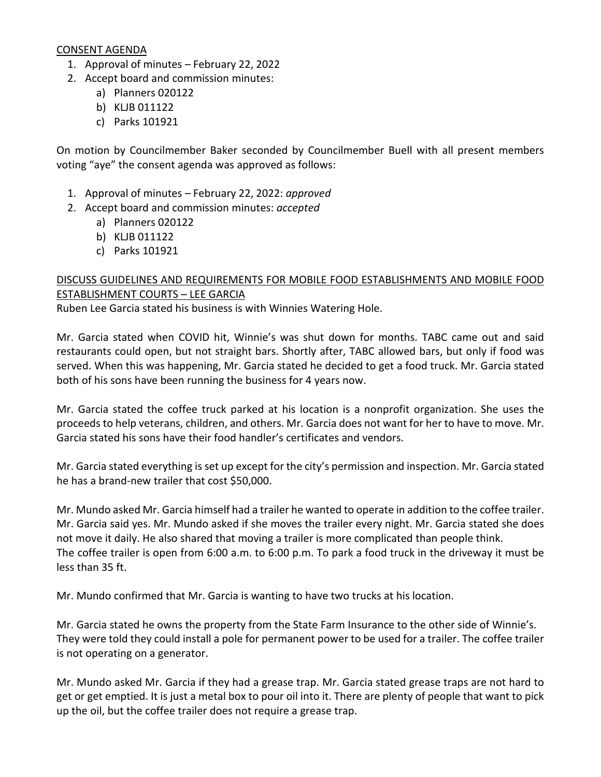### CONSENT AGENDA

- 1. Approval of minutes February 22, 2022
- 2. Accept board and commission minutes:
	- a) Planners 020122
	- b) KLJB 011122
	- c) Parks 101921

On motion by Councilmember Baker seconded by Councilmember Buell with all present members voting "aye" the consent agenda was approved as follows:

- 1. Approval of minutes February 22, 2022: *approved*
- 2. Accept board and commission minutes: *accepted* 
	- a) Planners 020122
		- b) KLJB 011122
		- c) Parks 101921

# DISCUSS GUIDELINES AND REQUIREMENTS FOR MOBILE FOOD ESTABLISHMENTS AND MOBILE FOOD ESTABLISHMENT COURTS – LEE GARCIA

Ruben Lee Garcia stated his business is with Winnies Watering Hole.

Mr. Garcia stated when COVID hit, Winnie's was shut down for months. TABC came out and said restaurants could open, but not straight bars. Shortly after, TABC allowed bars, but only if food was served. When this was happening, Mr. Garcia stated he decided to get a food truck. Mr. Garcia stated both of his sons have been running the business for 4 years now.

Mr. Garcia stated the coffee truck parked at his location is a nonprofit organization. She uses the proceeds to help veterans, children, and others. Mr. Garcia does not want for her to have to move. Mr. Garcia stated his sons have their food handler's certificates and vendors.

Mr. Garcia stated everything is set up except for the city's permission and inspection. Mr. Garcia stated he has a brand-new trailer that cost \$50,000.

Mr. Mundo asked Mr. Garcia himself had a trailer he wanted to operate in addition to the coffee trailer. Mr. Garcia said yes. Mr. Mundo asked if she moves the trailer every night. Mr. Garcia stated she does not move it daily. He also shared that moving a trailer is more complicated than people think. The coffee trailer is open from 6:00 a.m. to 6:00 p.m. To park a food truck in the driveway it must be less than 35 ft.

Mr. Mundo confirmed that Mr. Garcia is wanting to have two trucks at his location.

Mr. Garcia stated he owns the property from the State Farm Insurance to the other side of Winnie's. They were told they could install a pole for permanent power to be used for a trailer. The coffee trailer is not operating on a generator.

Mr. Mundo asked Mr. Garcia if they had a grease trap. Mr. Garcia stated grease traps are not hard to get or get emptied. It is just a metal box to pour oil into it. There are plenty of people that want to pick up the oil, but the coffee trailer does not require a grease trap.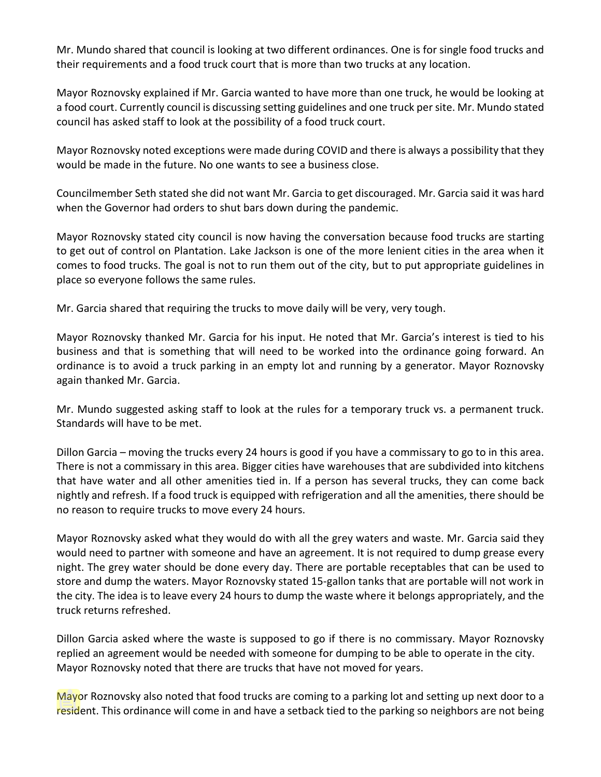Mr. Mundo shared that council is looking at two different ordinances. One is for single food trucks and their requirements and a food truck court that is more than two trucks at any location.

Mayor Roznovsky explained if Mr. Garcia wanted to have more than one truck, he would be looking at a food court. Currently council is discussing setting guidelines and one truck per site. Mr. Mundo stated council has asked staff to look at the possibility of a food truck court.

Mayor Roznovsky noted exceptions were made during COVID and there is always a possibility that they would be made in the future. No one wants to see a business close.

Councilmember Seth stated she did not want Mr. Garcia to get discouraged. Mr. Garcia said it was hard when the Governor had orders to shut bars down during the pandemic.

Mayor Roznovsky stated city council is now having the conversation because food trucks are starting to get out of control on Plantation. Lake Jackson is one of the more lenient cities in the area when it comes to food trucks. The goal is not to run them out of the city, but to put appropriate guidelines in place so everyone follows the same rules.

Mr. Garcia shared that requiring the trucks to move daily will be very, very tough.

Mayor Roznovsky thanked Mr. Garcia for his input. He noted that Mr. Garcia's interest is tied to his business and that is something that will need to be worked into the ordinance going forward. An ordinance is to avoid a truck parking in an empty lot and running by a generator. Mayor Roznovsky again thanked Mr. Garcia.

Mr. Mundo suggested asking staff to look at the rules for a temporary truck vs. a permanent truck. Standards will have to be met.

Dillon Garcia – moving the trucks every 24 hours is good if you have a commissary to go to in this area. There is not a commissary in this area. Bigger cities have warehouses that are subdivided into kitchens that have water and all other amenities tied in. If a person has several trucks, they can come back nightly and refresh. If a food truck is equipped with refrigeration and all the amenities, there should be no reason to require trucks to move every 24 hours.

Mayor Roznovsky asked what they would do with all the grey waters and waste. Mr. Garcia said they would need to partner with someone and have an agreement. It is not required to dump grease every night. The grey water should be done every day. There are portable receptables that can be used to store and dump the waters. Mayor Roznovsky stated 15-gallon tanks that are portable will not work in the city. The idea is to leave every 24 hours to dump the waste where it belongs appropriately, and the truck returns refreshed.

Dillon Garcia asked where the waste is supposed to go if there is no commissary. Mayor Roznovsky replied an agreement would be needed with someone for dumping to be able to operate in the city. Mayor Roznovsky noted that there are trucks that have not moved for years.

Mayor Roznovsky also noted that food trucks are coming to a parking lot and setting up next door to a resident. This ordinance will come in and have a setback tied to the parking so neighbors are not being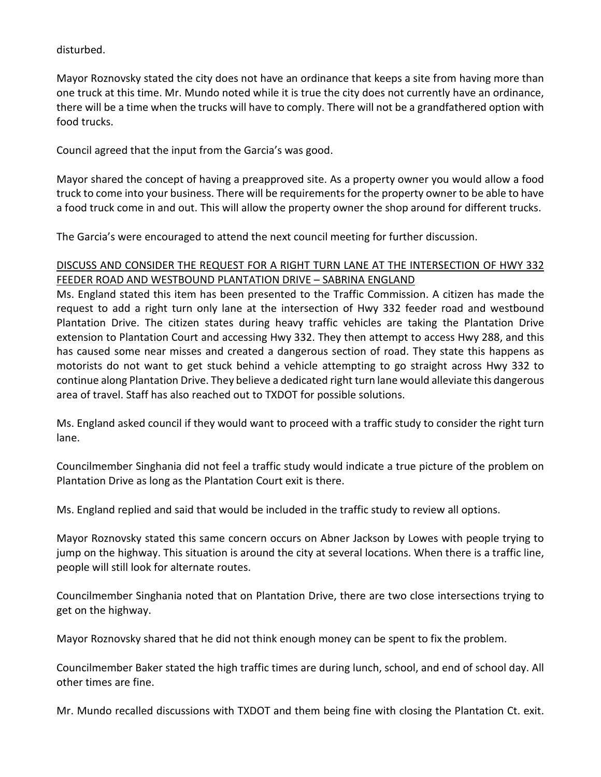disturbed.

Mayor Roznovsky stated the city does not have an ordinance that keeps a site from having more than one truck at this time. Mr. Mundo noted while it is true the city does not currently have an ordinance, there will be a time when the trucks will have to comply. There will not be a grandfathered option with food trucks.

Council agreed that the input from the Garcia's was good.

Mayor shared the concept of having a preapproved site. As a property owner you would allow a food truck to come into your business. There will be requirements for the property owner to be able to have a food truck come in and out. This will allow the property owner the shop around for different trucks.

The Garcia's were encouraged to attend the next council meeting for further discussion.

# DISCUSS AND CONSIDER THE REQUEST FOR A RIGHT TURN LANE AT THE INTERSECTION OF HWY 332 FEEDER ROAD AND WESTBOUND PLANTATION DRIVE – SABRINA ENGLAND

Ms. England stated this item has been presented to the Traffic Commission. A citizen has made the request to add a right turn only lane at the intersection of Hwy 332 feeder road and westbound Plantation Drive. The citizen states during heavy traffic vehicles are taking the Plantation Drive extension to Plantation Court and accessing Hwy 332. They then attempt to access Hwy 288, and this has caused some near misses and created a dangerous section of road. They state this happens as motorists do not want to get stuck behind a vehicle attempting to go straight across Hwy 332 to continue along Plantation Drive. They believe a dedicated right turn lane would alleviate this dangerous area of travel. Staff has also reached out to TXDOT for possible solutions.

Ms. England asked council if they would want to proceed with a traffic study to consider the right turn lane.

Councilmember Singhania did not feel a traffic study would indicate a true picture of the problem on Plantation Drive as long as the Plantation Court exit is there.

Ms. England replied and said that would be included in the traffic study to review all options.

Mayor Roznovsky stated this same concern occurs on Abner Jackson by Lowes with people trying to jump on the highway. This situation is around the city at several locations. When there is a traffic line, people will still look for alternate routes.

Councilmember Singhania noted that on Plantation Drive, there are two close intersections trying to get on the highway.

Mayor Roznovsky shared that he did not think enough money can be spent to fix the problem.

Councilmember Baker stated the high traffic times are during lunch, school, and end of school day. All other times are fine.

Mr. Mundo recalled discussions with TXDOT and them being fine with closing the Plantation Ct. exit.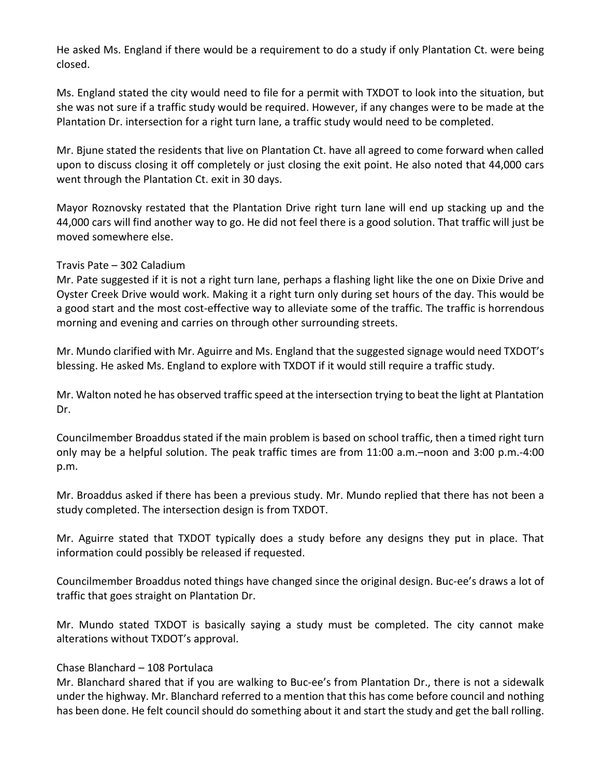He asked Ms. England if there would be a requirement to do a study if only Plantation Ct. were being closed.

Ms. England stated the city would need to file for a permit with TXDOT to look into the situation, but she was not sure if a traffic study would be required. However, if any changes were to be made at the Plantation Dr. intersection for a right turn lane, a traffic study would need to be completed.

Mr. Bjune stated the residents that live on Plantation Ct. have all agreed to come forward when called upon to discuss closing it off completely or just closing the exit point. He also noted that 44,000 cars went through the Plantation Ct. exit in 30 days.

Mayor Roznovsky restated that the Plantation Drive right turn lane will end up stacking up and the 44,000 cars will find another way to go. He did not feel there is a good solution. That traffic will just be moved somewhere else.

### Travis Pate – 302 Caladium

Mr. Pate suggested if it is not a right turn lane, perhaps a flashing light like the one on Dixie Drive and Oyster Creek Drive would work. Making it a right turn only during set hours of the day. This would be a good start and the most cost-effective way to alleviate some of the traffic. The traffic is horrendous morning and evening and carries on through other surrounding streets.

Mr. Mundo clarified with Mr. Aguirre and Ms. England that the suggested signage would need TXDOT's blessing. He asked Ms. England to explore with TXDOT if it would still require a traffic study.

Mr. Walton noted he has observed traffic speed at the intersection trying to beat the light at Plantation Dr.

Councilmember Broaddus stated if the main problem is based on school traffic, then a timed right turn only may be a helpful solution. The peak traffic times are from 11:00 a.m.–noon and 3:00 p.m.-4:00 p.m.

Mr. Broaddus asked if there has been a previous study. Mr. Mundo replied that there has not been a study completed. The intersection design is from TXDOT.

Mr. Aguirre stated that TXDOT typically does a study before any designs they put in place. That information could possibly be released if requested.

Councilmember Broaddus noted things have changed since the original design. Buc-ee's draws a lot of traffic that goes straight on Plantation Dr.

Mr. Mundo stated TXDOT is basically saying a study must be completed. The city cannot make alterations without TXDOT's approval.

### Chase Blanchard – 108 Portulaca

Mr. Blanchard shared that if you are walking to Buc-ee's from Plantation Dr., there is not a sidewalk under the highway. Mr. Blanchard referred to a mention that this has come before council and nothing has been done. He felt council should do something about it and start the study and get the ball rolling.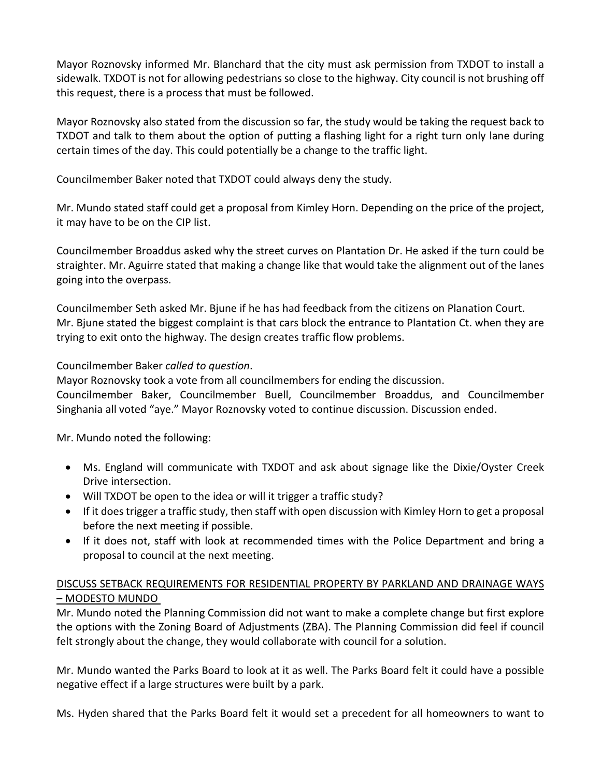Mayor Roznovsky informed Mr. Blanchard that the city must ask permission from TXDOT to install a sidewalk. TXDOT is not for allowing pedestrians so close to the highway. City council is not brushing off this request, there is a process that must be followed.

Mayor Roznovsky also stated from the discussion so far, the study would be taking the request back to TXDOT and talk to them about the option of putting a flashing light for a right turn only lane during certain times of the day. This could potentially be a change to the traffic light.

Councilmember Baker noted that TXDOT could always deny the study.

Mr. Mundo stated staff could get a proposal from Kimley Horn. Depending on the price of the project, it may have to be on the CIP list.

Councilmember Broaddus asked why the street curves on Plantation Dr. He asked if the turn could be straighter. Mr. Aguirre stated that making a change like that would take the alignment out of the lanes going into the overpass.

Councilmember Seth asked Mr. Bjune if he has had feedback from the citizens on Planation Court. Mr. Bjune stated the biggest complaint is that cars block the entrance to Plantation Ct. when they are trying to exit onto the highway. The design creates traffic flow problems.

# Councilmember Baker *called to question*.

Mayor Roznovsky took a vote from all councilmembers for ending the discussion.

Councilmember Baker, Councilmember Buell, Councilmember Broaddus, and Councilmember Singhania all voted "aye." Mayor Roznovsky voted to continue discussion. Discussion ended.

Mr. Mundo noted the following:

- Ms. England will communicate with TXDOT and ask about signage like the Dixie/Oyster Creek Drive intersection.
- Will TXDOT be open to the idea or will it trigger a traffic study?
- If it does trigger a traffic study, then staff with open discussion with Kimley Horn to get a proposal before the next meeting if possible.
- If it does not, staff with look at recommended times with the Police Department and bring a proposal to council at the next meeting.

# DISCUSS SETBACK REQUIREMENTS FOR RESIDENTIAL PROPERTY BY PARKLAND AND DRAINAGE WAYS – MODESTO MUNDO

Mr. Mundo noted the Planning Commission did not want to make a complete change but first explore the options with the Zoning Board of Adjustments (ZBA). The Planning Commission did feel if council felt strongly about the change, they would collaborate with council for a solution.

Mr. Mundo wanted the Parks Board to look at it as well. The Parks Board felt it could have a possible negative effect if a large structures were built by a park.

Ms. Hyden shared that the Parks Board felt it would set a precedent for all homeowners to want to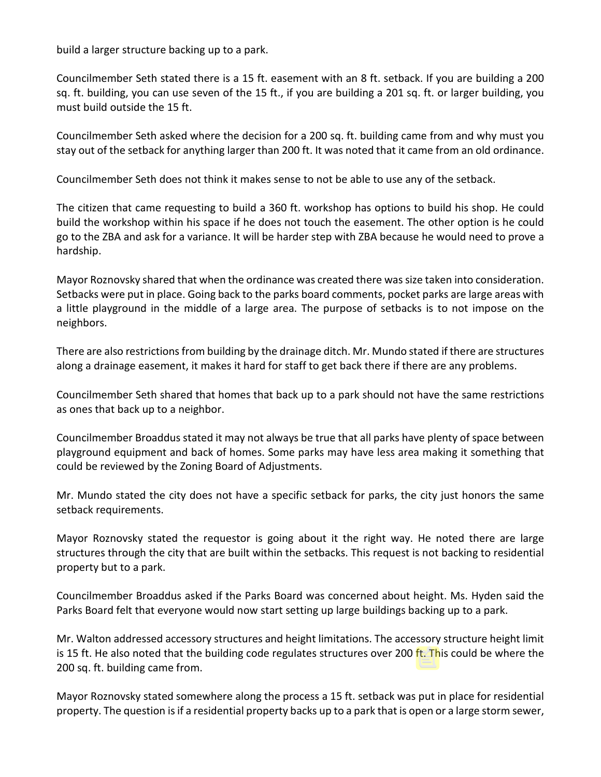build a larger structure backing up to a park.

Councilmember Seth stated there is a 15 ft. easement with an 8 ft. setback. If you are building a 200 sq. ft. building, you can use seven of the 15 ft., if you are building a 201 sq. ft. or larger building, you must build outside the 15 ft.

Councilmember Seth asked where the decision for a 200 sq. ft. building came from and why must you stay out of the setback for anything larger than 200 ft. It was noted that it came from an old ordinance.

Councilmember Seth does not think it makes sense to not be able to use any of the setback.

The citizen that came requesting to build a 360 ft. workshop has options to build his shop. He could build the workshop within his space if he does not touch the easement. The other option is he could go to the ZBA and ask for a variance. It will be harder step with ZBA because he would need to prove a hardship.

Mayor Roznovsky shared that when the ordinance was created there was size taken into consideration. Setbacks were put in place. Going back to the parks board comments, pocket parks are large areas with a little playground in the middle of a large area. The purpose of setbacks is to not impose on the neighbors.

There are also restrictionsfrom building by the drainage ditch. Mr. Mundo stated if there are structures along a drainage easement, it makes it hard for staff to get back there if there are any problems.

Councilmember Seth shared that homes that back up to a park should not have the same restrictions as ones that back up to a neighbor.

Councilmember Broaddus stated it may not always be true that all parks have plenty of space between playground equipment and back of homes. Some parks may have less area making it something that could be reviewed by the Zoning Board of Adjustments.

Mr. Mundo stated the city does not have a specific setback for parks, the city just honors the same setback requirements.

Mayor Roznovsky stated the requestor is going about it the right way. He noted there are large structures through the city that are built within the setbacks. This request is not backing to residential property but to a park.

Councilmember Broaddus asked if the Parks Board was concerned about height. Ms. Hyden said the Parks Board felt that everyone would now start setting up large buildings backing up to a park.

Mr. Walton addressed accessory structures and height limitations. The accessory structure height limit is 15 ft. He also noted that the building code regulates structures over 200 ft. This could be where the 200 sq. ft. building came from.

Mayor Roznovsky stated somewhere along the process a 15 ft. setback was put in place for residential property. The question is if a residential property backs up to a park that is open or a large storm sewer,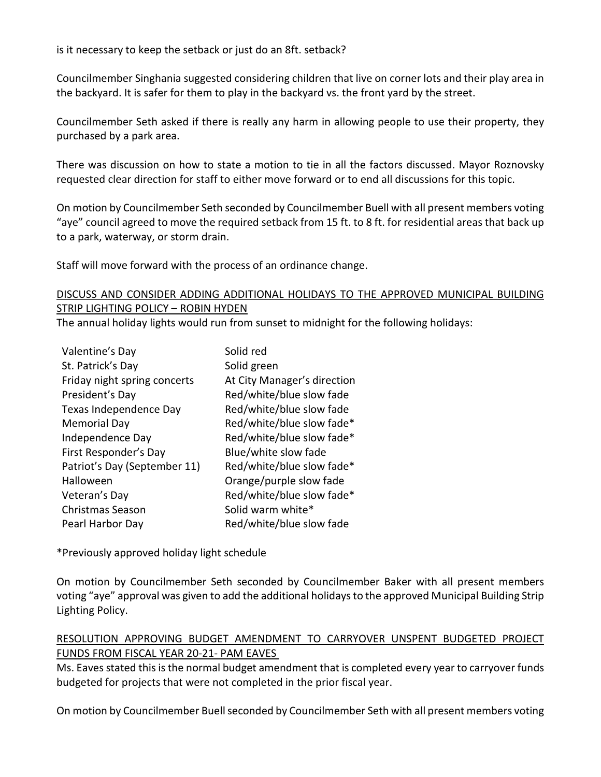is it necessary to keep the setback or just do an 8ft. setback?

Councilmember Singhania suggested considering children that live on corner lots and their play area in the backyard. It is safer for them to play in the backyard vs. the front yard by the street.

Councilmember Seth asked if there is really any harm in allowing people to use their property, they purchased by a park area.

There was discussion on how to state a motion to tie in all the factors discussed. Mayor Roznovsky requested clear direction for staff to either move forward or to end all discussions for this topic.

On motion by Councilmember Seth seconded by Councilmember Buell with all present members voting "aye" council agreed to move the required setback from 15 ft. to 8 ft. for residential areas that back up to a park, waterway, or storm drain.

Staff will move forward with the process of an ordinance change.

# DISCUSS AND CONSIDER ADDING ADDITIONAL HOLIDAYS TO THE APPROVED MUNICIPAL BUILDING STRIP LIGHTING POLICY – ROBIN HYDEN

The annual holiday lights would run from sunset to midnight for the following holidays:

| Valentine's Day              | Solid red                   |
|------------------------------|-----------------------------|
| St. Patrick's Day            | Solid green                 |
| Friday night spring concerts | At City Manager's direction |
| President's Day              | Red/white/blue slow fade    |
| Texas Independence Day       | Red/white/blue slow fade    |
| <b>Memorial Day</b>          | Red/white/blue slow fade*   |
| Independence Day             | Red/white/blue slow fade*   |
| First Responder's Day        | Blue/white slow fade        |
| Patriot's Day (September 11) | Red/white/blue slow fade*   |
| Halloween                    | Orange/purple slow fade     |
| Veteran's Day                | Red/white/blue slow fade*   |
| <b>Christmas Season</b>      | Solid warm white*           |
| Pearl Harbor Day             | Red/white/blue slow fade    |

\*Previously approved holiday light schedule

On motion by Councilmember Seth seconded by Councilmember Baker with all present members voting "aye" approval was given to add the additional holidays to the approved Municipal Building Strip Lighting Policy.

# RESOLUTION APPROVING BUDGET AMENDMENT TO CARRYOVER UNSPENT BUDGETED PROJECT FUNDS FROM FISCAL YEAR 20-21- PAM EAVES

Ms. Eaves stated this is the normal budget amendment that is completed every year to carryover funds budgeted for projects that were not completed in the prior fiscal year.

On motion by Councilmember Buell seconded by Councilmember Seth with all present members voting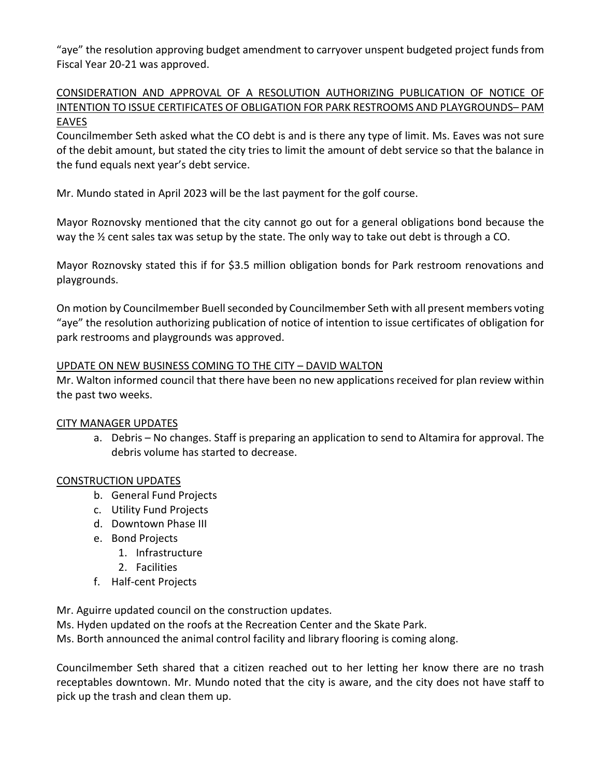"aye" the resolution approving budget amendment to carryover unspent budgeted project funds from Fiscal Year 20-21 was approved.

# CONSIDERATION AND APPROVAL OF A RESOLUTION AUTHORIZING PUBLICATION OF NOTICE OF INTENTION TO ISSUE CERTIFICATES OF OBLIGATION FOR PARK RESTROOMS AND PLAYGROUNDS– PAM EAVES

Councilmember Seth asked what the CO debt is and is there any type of limit. Ms. Eaves was not sure of the debit amount, but stated the city tries to limit the amount of debt service so that the balance in the fund equals next year's debt service.

Mr. Mundo stated in April 2023 will be the last payment for the golf course.

Mayor Roznovsky mentioned that the city cannot go out for a general obligations bond because the way the ½ cent sales tax was setup by the state. The only way to take out debt is through a CO.

Mayor Roznovsky stated this if for \$3.5 million obligation bonds for Park restroom renovations and playgrounds.

On motion by Councilmember Buellseconded by Councilmember Seth with all present members voting "aye" the resolution authorizing publication of notice of intention to issue certificates of obligation for park restrooms and playgrounds was approved.

# UPDATE ON NEW BUSINESS COMING TO THE CITY – DAVID WALTON

Mr. Walton informed council that there have been no new applications received for plan review within the past two weeks.

# CITY MANAGER UPDATES

a. Debris – No changes. Staff is preparing an application to send to Altamira for approval. The debris volume has started to decrease.

# CONSTRUCTION UPDATES

- b. General Fund Projects
- c. Utility Fund Projects
- d. Downtown Phase III
- e. Bond Projects
	- 1. Infrastructure
	- 2. Facilities
- f. Half-cent Projects

Mr. Aguirre updated council on the construction updates.

Ms. Hyden updated on the roofs at the Recreation Center and the Skate Park.

Ms. Borth announced the animal control facility and library flooring is coming along.

Councilmember Seth shared that a citizen reached out to her letting her know there are no trash receptables downtown. Mr. Mundo noted that the city is aware, and the city does not have staff to pick up the trash and clean them up.